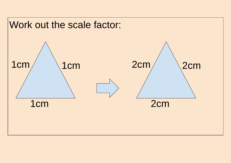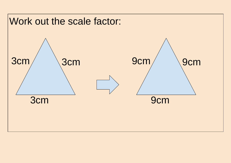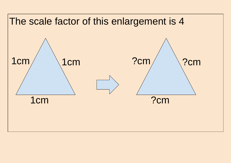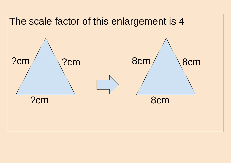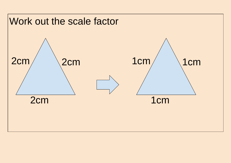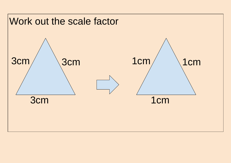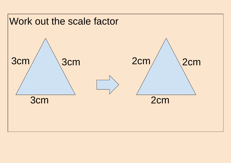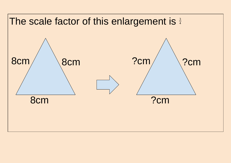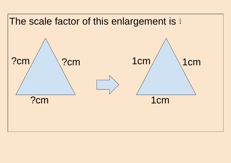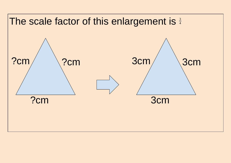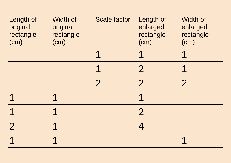| Length of<br>original<br>rectangle<br>(cm) | Width of<br>original<br>rectangle<br>(cm) | <b>Scale factor</b> | Length of<br>enlarged<br>rectangle<br>(cm) | <b>Width of</b><br>enlarged<br>rectangle<br>(cm) |
|--------------------------------------------|-------------------------------------------|---------------------|--------------------------------------------|--------------------------------------------------|
|                                            |                                           |                     |                                            |                                                  |
|                                            |                                           |                     | $\overline{2}$                             |                                                  |
|                                            |                                           | $\overline{2}$      | $\overline{2}$                             | $\overline{2}$                                   |
|                                            | <u> 1</u>                                 |                     | <u>1</u>                                   |                                                  |
|                                            | 1                                         |                     | $\overline{2}$                             |                                                  |
| $\overline{2}$                             | 1                                         |                     | 4                                          |                                                  |
|                                            |                                           |                     |                                            |                                                  |